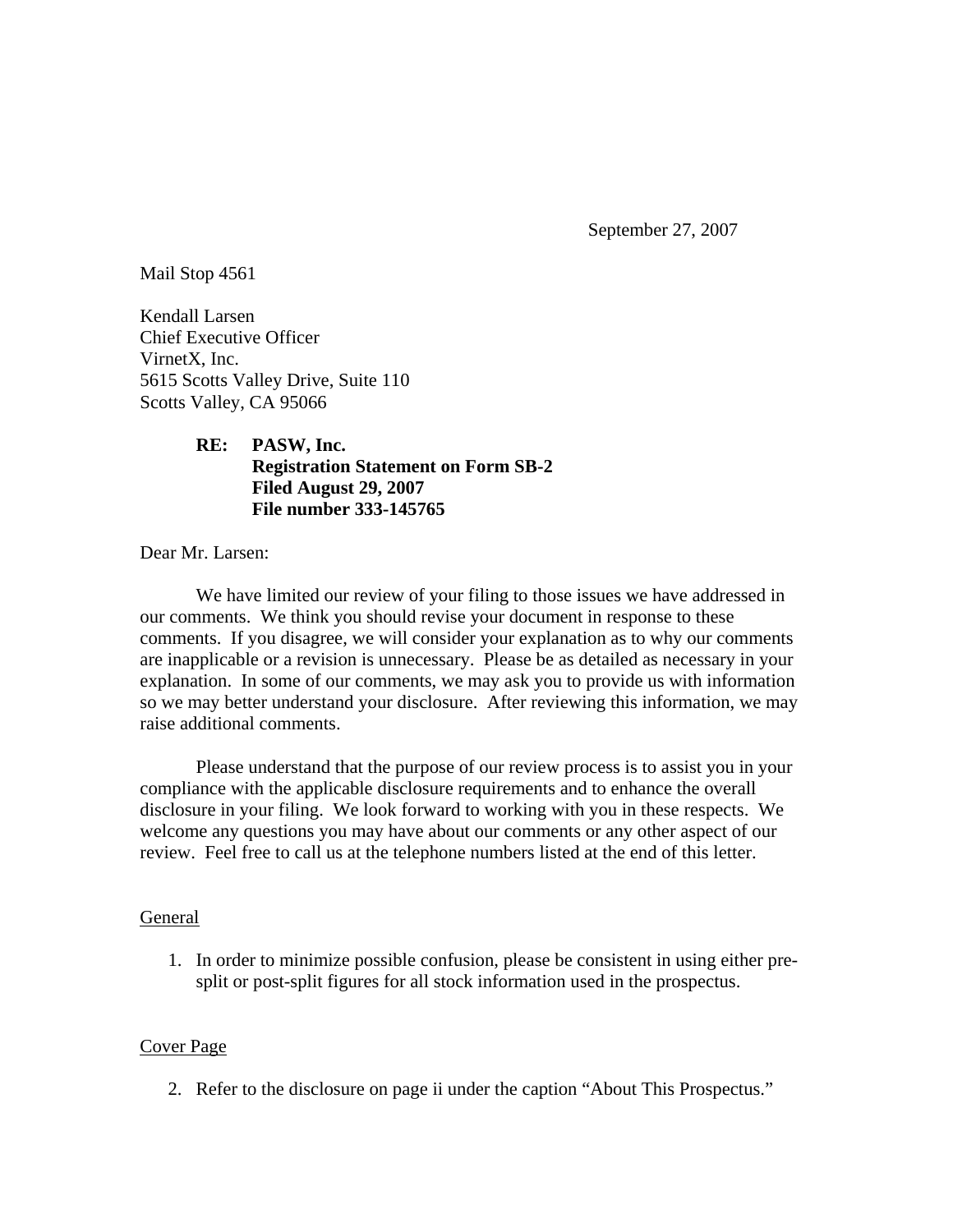September 27, 2007

Mail Stop 4561

Kendall Larsen Chief Executive Officer VirnetX, Inc. 5615 Scotts Valley Drive, Suite 110 Scotts Valley, CA 95066

# **RE: PASW, Inc. Registration Statement on Form SB-2 Filed August 29, 2007 File number 333-145765**

Dear Mr. Larsen:

We have limited our review of your filing to those issues we have addressed in our comments. We think you should revise your document in response to these comments. If you disagree, we will consider your explanation as to why our comments are inapplicable or a revision is unnecessary. Please be as detailed as necessary in your explanation. In some of our comments, we may ask you to provide us with information so we may better understand your disclosure. After reviewing this information, we may raise additional comments.

Please understand that the purpose of our review process is to assist you in your compliance with the applicable disclosure requirements and to enhance the overall disclosure in your filing. We look forward to working with you in these respects. We welcome any questions you may have about our comments or any other aspect of our review. Feel free to call us at the telephone numbers listed at the end of this letter.

#### General

1. In order to minimize possible confusion, please be consistent in using either presplit or post-split figures for all stock information used in the prospectus.

#### Cover Page

2. Refer to the disclosure on page ii under the caption "About This Prospectus."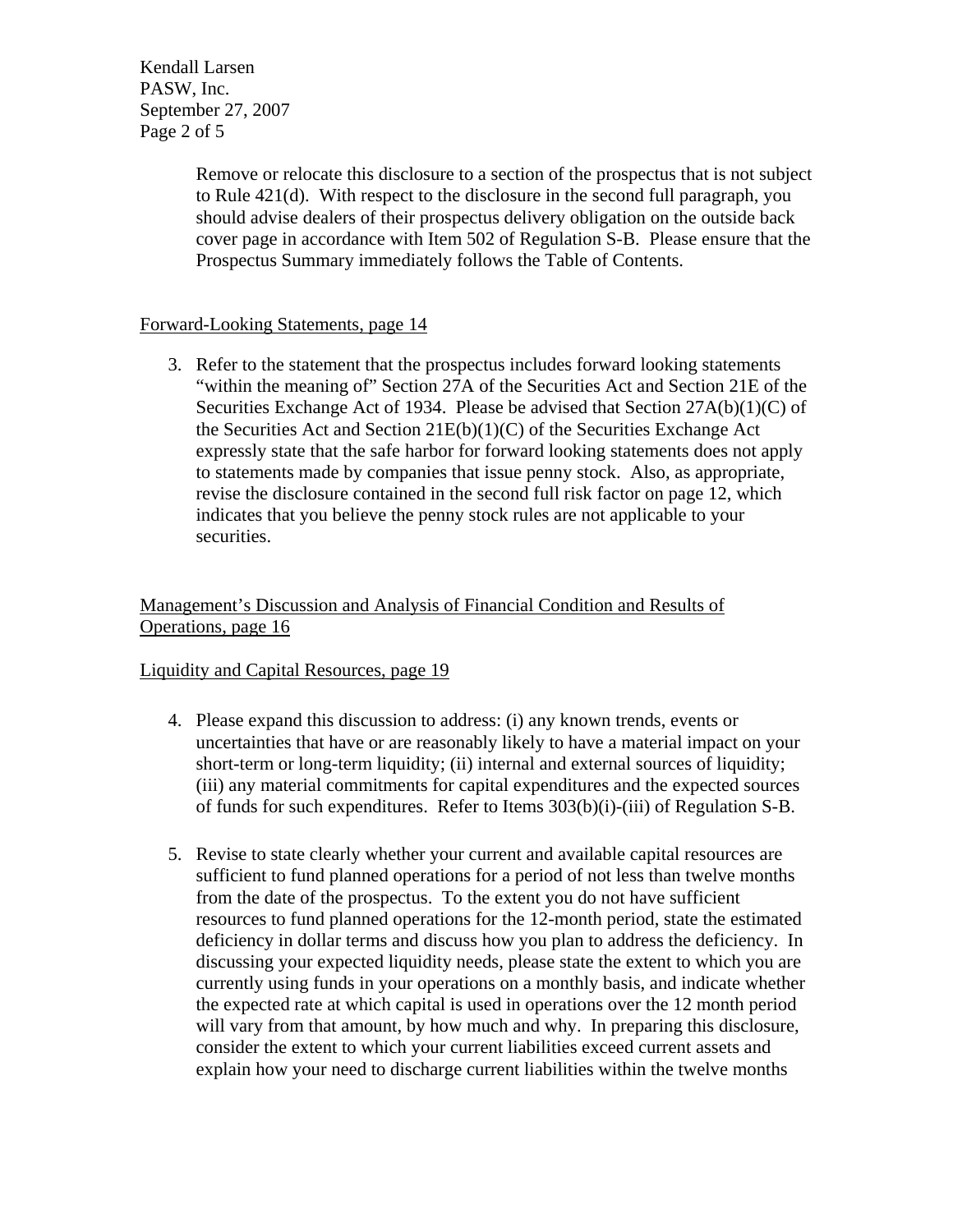Kendall Larsen PASW, Inc. September 27, 2007 Page 2 of 5

> Remove or relocate this disclosure to a section of the prospectus that is not subject to Rule 421(d). With respect to the disclosure in the second full paragraph, you should advise dealers of their prospectus delivery obligation on the outside back cover page in accordance with Item 502 of Regulation S-B. Please ensure that the Prospectus Summary immediately follows the Table of Contents.

### Forward-Looking Statements, page 14

3. Refer to the statement that the prospectus includes forward looking statements "within the meaning of" Section 27A of the Securities Act and Section 21E of the Securities Exchange Act of 1934. Please be advised that Section  $27A(b)(1)(C)$  of the Securities Act and Section 21E(b)(1)(C) of the Securities Exchange Act expressly state that the safe harbor for forward looking statements does not apply to statements made by companies that issue penny stock. Also, as appropriate, revise the disclosure contained in the second full risk factor on page 12, which indicates that you believe the penny stock rules are not applicable to your securities.

## Management's Discussion and Analysis of Financial Condition and Results of Operations, page 16

#### Liquidity and Capital Resources, page 19

- 4. Please expand this discussion to address: (i) any known trends, events or uncertainties that have or are reasonably likely to have a material impact on your short-term or long-term liquidity; (ii) internal and external sources of liquidity; (iii) any material commitments for capital expenditures and the expected sources of funds for such expenditures. Refer to Items 303(b)(i)-(iii) of Regulation S-B.
- 5. Revise to state clearly whether your current and available capital resources are sufficient to fund planned operations for a period of not less than twelve months from the date of the prospectus. To the extent you do not have sufficient resources to fund planned operations for the 12-month period, state the estimated deficiency in dollar terms and discuss how you plan to address the deficiency. In discussing your expected liquidity needs, please state the extent to which you are currently using funds in your operations on a monthly basis, and indicate whether the expected rate at which capital is used in operations over the 12 month period will vary from that amount, by how much and why. In preparing this disclosure, consider the extent to which your current liabilities exceed current assets and explain how your need to discharge current liabilities within the twelve months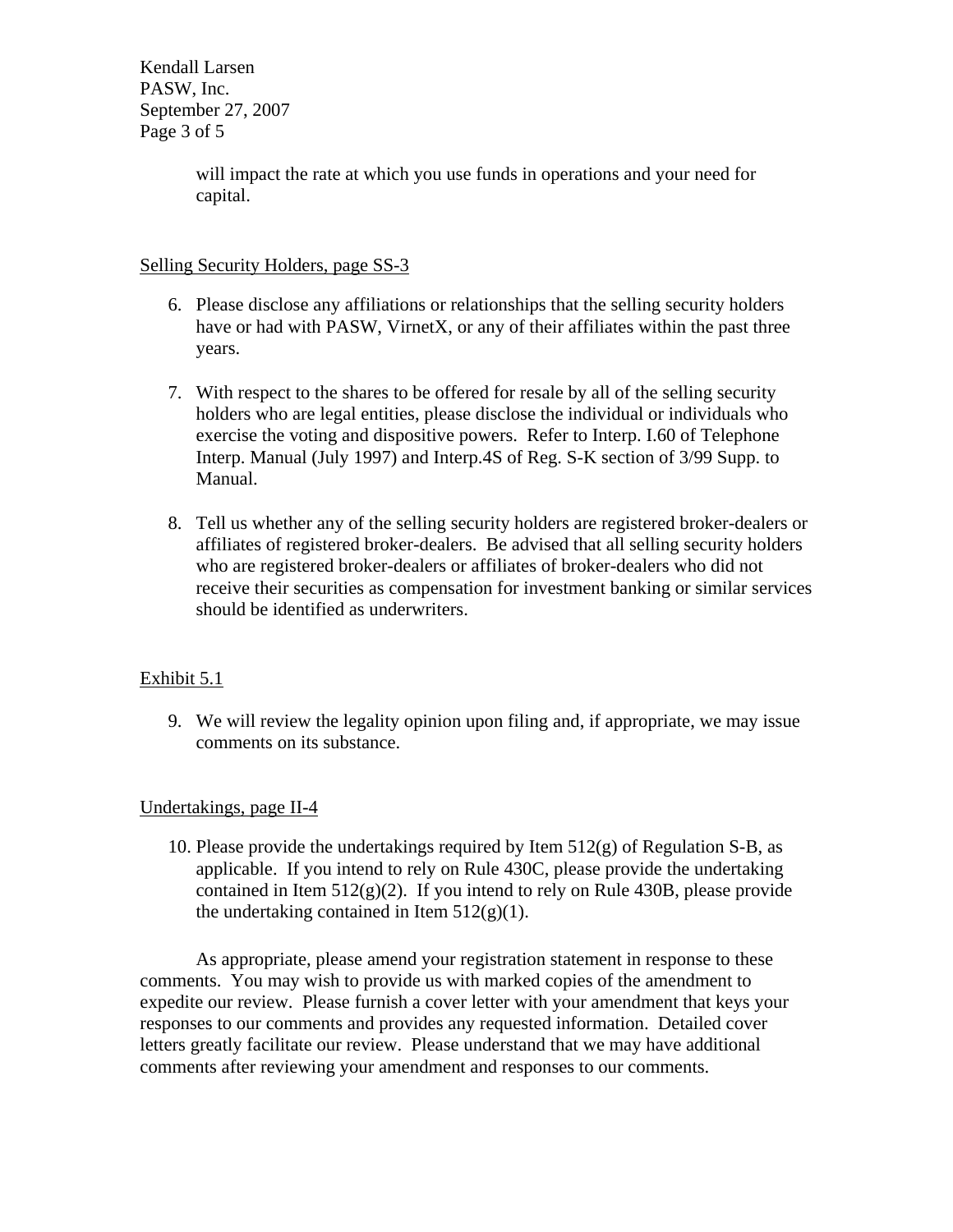Kendall Larsen PASW, Inc. September 27, 2007 Page 3 of 5

> will impact the rate at which you use funds in operations and your need for capital.

## Selling Security Holders, page SS-3

- 6. Please disclose any affiliations or relationships that the selling security holders have or had with PASW, VirnetX, or any of their affiliates within the past three years.
- 7. With respect to the shares to be offered for resale by all of the selling security holders who are legal entities, please disclose the individual or individuals who exercise the voting and dispositive powers. Refer to Interp. I.60 of Telephone Interp. Manual (July 1997) and Interp.4S of Reg. S-K section of 3/99 Supp. to Manual.
- 8. Tell us whether any of the selling security holders are registered broker-dealers or affiliates of registered broker-dealers. Be advised that all selling security holders who are registered broker-dealers or affiliates of broker-dealers who did not receive their securities as compensation for investment banking or similar services should be identified as underwriters.

# Exhibit 5.1

9. We will review the legality opinion upon filing and, if appropriate, we may issue comments on its substance.

# Undertakings, page II-4

10. Please provide the undertakings required by Item  $512(g)$  of Regulation S-B, as applicable. If you intend to rely on Rule 430C, please provide the undertaking contained in Item  $512(g)(2)$ . If you intend to rely on Rule 430B, please provide the undertaking contained in Item  $512(g)(1)$ .

As appropriate, please amend your registration statement in response to these comments. You may wish to provide us with marked copies of the amendment to expedite our review. Please furnish a cover letter with your amendment that keys your responses to our comments and provides any requested information. Detailed cover letters greatly facilitate our review. Please understand that we may have additional comments after reviewing your amendment and responses to our comments.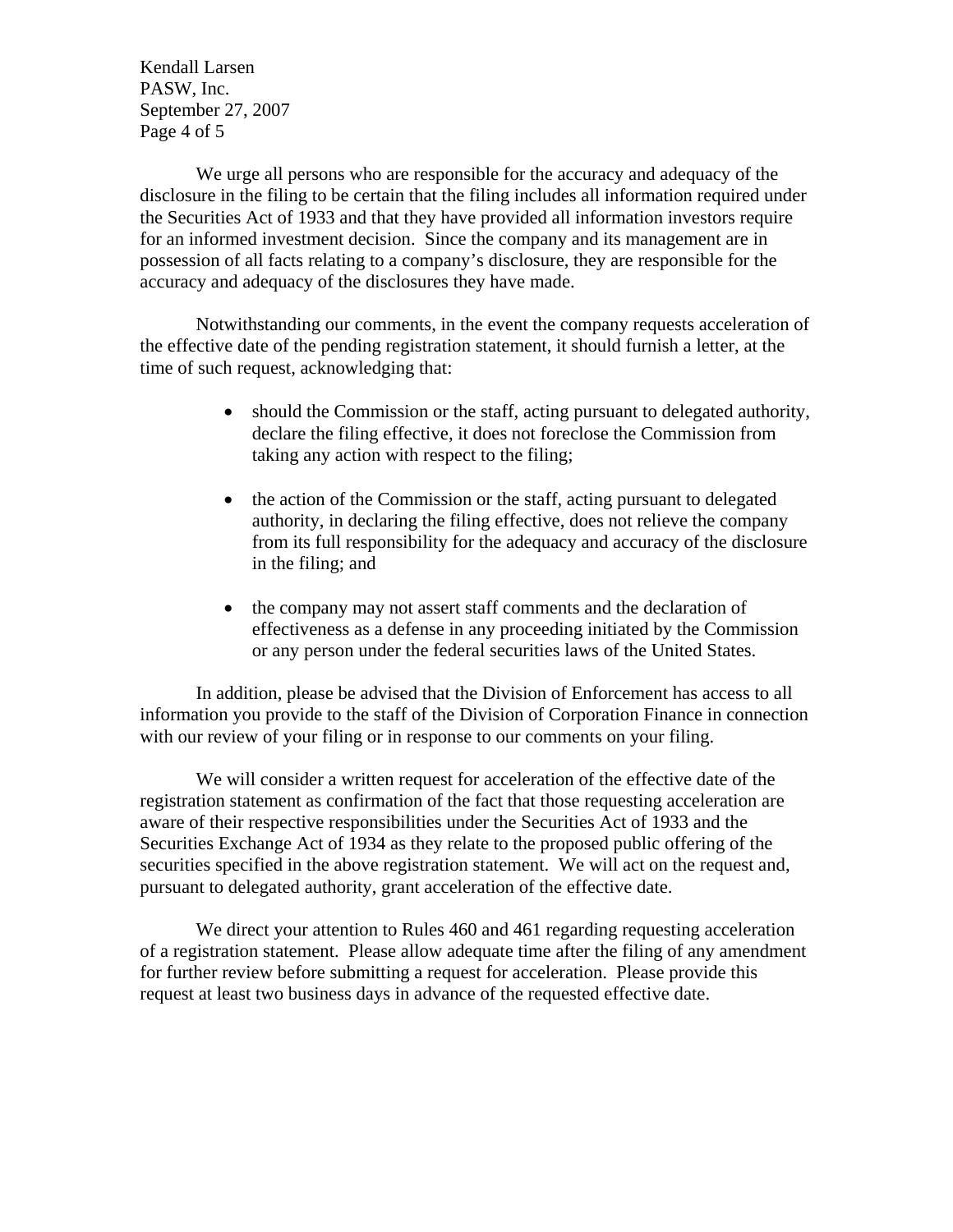Kendall Larsen PASW, Inc. September 27, 2007 Page 4 of 5

We urge all persons who are responsible for the accuracy and adequacy of the disclosure in the filing to be certain that the filing includes all information required under the Securities Act of 1933 and that they have provided all information investors require for an informed investment decision. Since the company and its management are in possession of all facts relating to a company's disclosure, they are responsible for the accuracy and adequacy of the disclosures they have made.

Notwithstanding our comments, in the event the company requests acceleration of the effective date of the pending registration statement, it should furnish a letter, at the time of such request, acknowledging that:

- should the Commission or the staff, acting pursuant to delegated authority, declare the filing effective, it does not foreclose the Commission from taking any action with respect to the filing;
- the action of the Commission or the staff, acting pursuant to delegated authority, in declaring the filing effective, does not relieve the company from its full responsibility for the adequacy and accuracy of the disclosure in the filing; and
- the company may not assert staff comments and the declaration of effectiveness as a defense in any proceeding initiated by the Commission or any person under the federal securities laws of the United States.

 In addition, please be advised that the Division of Enforcement has access to all information you provide to the staff of the Division of Corporation Finance in connection with our review of your filing or in response to our comments on your filing.

We will consider a written request for acceleration of the effective date of the registration statement as confirmation of the fact that those requesting acceleration are aware of their respective responsibilities under the Securities Act of 1933 and the Securities Exchange Act of 1934 as they relate to the proposed public offering of the securities specified in the above registration statement. We will act on the request and, pursuant to delegated authority, grant acceleration of the effective date.

We direct your attention to Rules 460 and 461 regarding requesting acceleration of a registration statement. Please allow adequate time after the filing of any amendment for further review before submitting a request for acceleration. Please provide this request at least two business days in advance of the requested effective date.